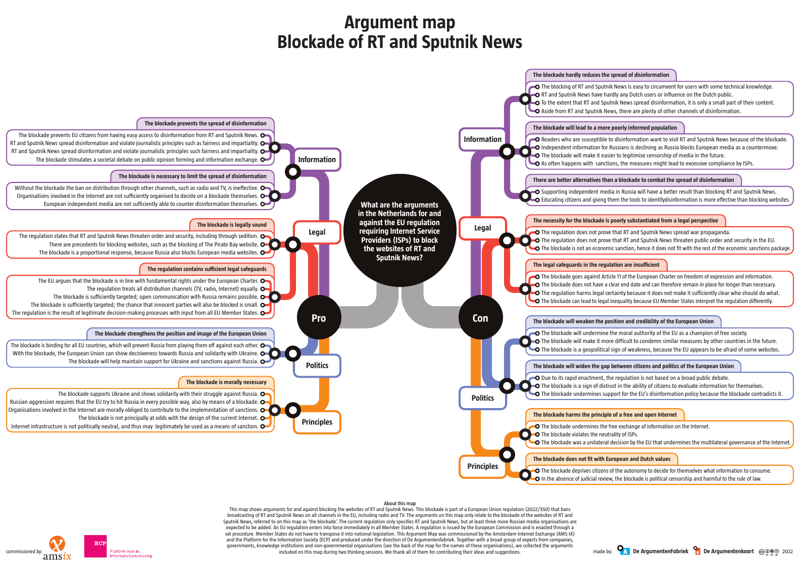

**O** The blocking of RT and Sputnik News is easy to circumvent for users with some technical knowledge. **O** RT and Sputnik News have hardly any Dutch users or influence on the Dutch public.

 $\bullet$  To the extent that RT and Sputnik News spread disinformation, it is only a small part of their content.  $\Box$  Aside from RT and Sputnik News, there are plenty of other channels of disinformation.

**O** Readers who are susceptible to disinformation want to visit RT and Sputnik News because of the blockade. **O** Independent information for Russians is declining as Russia blocks European media as a countermove.  $\bullet$  The blockade will make it easier to legitimise censorship of media in the future.

 $\bullet$  As often happens with sanctions, the measures might lead to excessive compliance by ISPs.

### **About this map**

This map shows arguments for and against blocking the websites of RT and Sputnik News. This blockade is part of a European Union regulation (2022/350) that bans broadcasting of RT and Sputnik News on all channels in the EU, including radio and TV. The arguments on this map only relate to the blockade of the websites of RT and Sputnik News, referred to on this map as 'the blockade'. The current regulation only specifies RT and Sputnik News, but at least three more Russian media organisations are expected to be added. An EU regulation enters into force immediately in all Member States. A regulation is issued by the European Commission and is enacted through a set procedure. Member States do not have to transpose it into national legislation. This Argument Map was commissioned by the Amsterdam Internet Exchange (AMS-IX) and the Platform for the Information Society (ECP) and produced under the direction of De Argumentenfabriek. Together with a broad group of experts from companies, governments, knowledge institutions and non-governmental organisations (see the back of the map for the names of these organisations), we collected the arguments included on this map during two thinking sessions. We thank all of them for contributing their ideas and suggestions.

O Supporting independent media in Russia will have a better result than blocking RT and Sputnik News. Educating citizens and giving them the tools to identifydisinformation is more effective than blocking websites.

# **Argument map Blockade of RT and Sputnik News**



 $\bullet$  The regulation does not prove that RT and Sputnik News spread war propaganda. **The regulation does not prove that RT and Sputnik News threaten public order and security in the EU.** The blockade is not an economic sanction, hence it does not fit with the rest of the economic sanctions package.

O The blockade goes against Article 11 of the European Charter on freedom of expression and information. O The blockade does not have a clear end date and can therefore remain in place for longer than necessary. **O** The regulation harms legal certainty because it does not make it sufficiently clear who should do what. **O** The blockade can lead to legal inequality because EU Member States interpret the regulation differently.

## **There are better alternatives than a blockade to combat the spread of disinformation**

## **The necessity for the blockade is poorly substantiated from a legal perspective**

## **The blockade will weaken the position and credibility of the European Union**

 $\bullet$  The blockade will undermine the moral authority of the EU as a champion of free society. **The blockade will make it more difficult to condemn similar measures by other countries in the future.** O The blockade is a geopolitical sign of weakness, because the EU appears to be afraid of some websites.

### **The blockade will widen the gap between citizens and politics of the European Union**

 $\bigcirc$  Due to its rapid enactment, the regulation is not based on a broad public debate.

**The blockade is a sign of distrust in the ability of citizens to evaluate information for themselves.** 

The blockade undermines support for the EU's disinformation policy because the blockade contradicts it.

**O** The blockade undermines the free exchange of information on the Internet.

The blockade was a unilateral decision by the EU that undermines the multilateral governance of the Internet.

O The blockade deprives citizens of the autonomy to decide for themselves what information to consume.  $\bullet$  In the absence of judicial review, the blockade is political censorship and harmful to the rule of law.